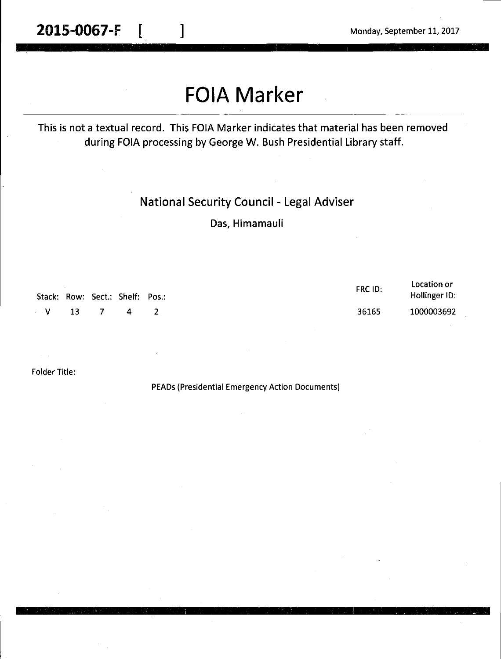# **FOIA Marker**

This is not a textual record. This FOIA Marker indicates that material has been removed during FOIA processing by George W. Bush Presidential Library staff.

### National Security Council - Legal Adviser

Das, Himamauli

| Stack: Row: Sect.: Shelf: Pos.: |      |              | FRC ID: | Location or<br>Hollinger ID: |
|---------------------------------|------|--------------|---------|------------------------------|
| $\sim$ V $\sim$                 | 13 7 | $\mathbf{a}$ | 36165   | 1000003692                   |

Folder Title:

PEADs (Presidential Emergency Action Documents)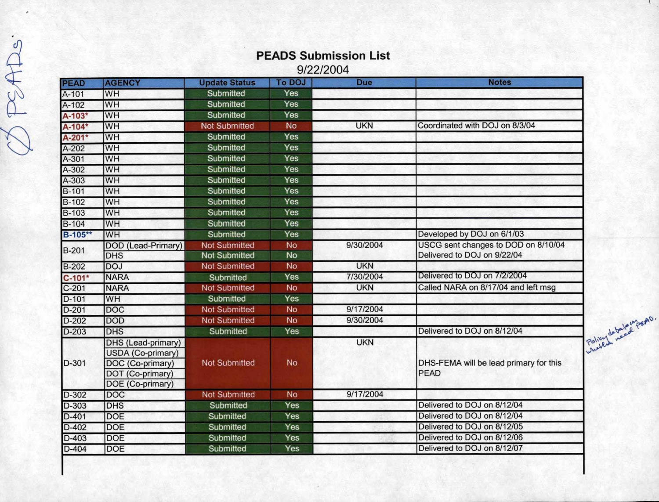PEADS.

### **PEADS Submission List 9/22/2004**

|              |                              |                      | 9/22/2004     |            |                                        |                        |
|--------------|------------------------------|----------------------|---------------|------------|----------------------------------------|------------------------|
| <b>PEAD</b>  | <b>AGENCY</b>                | <b>Update Status</b> | <b>To DOJ</b> | <b>Due</b> | <b>Notes</b>                           |                        |
| A-101        | WH                           | <b>Submitted</b>     | Yes           |            |                                        |                        |
| A-102        | WH                           | Submitted            | Yes           |            |                                        |                        |
| $A-103*$     | WH                           | Submitted            | Yes           |            |                                        |                        |
| A-104*       | <b>WH</b>                    | <b>Not Submitted</b> | <b>No</b>     | <b>UKN</b> | Coordinated with DOJ on 8/3/04         |                        |
| A-201*       | <b>WH</b>                    | Submitted            | Yes           |            |                                        |                        |
| A-202        | WH                           | Submitted            | Yes           |            |                                        |                        |
| A-301        | WH                           | Submitted            | Yes           |            |                                        |                        |
| A-302        | WH                           | Submitted            | Yes           |            |                                        |                        |
| $A - 303$    | WH                           | Submitted            | Yes           |            |                                        |                        |
| <b>B-101</b> | WH                           | Submitted            | Yes           |            |                                        |                        |
| <b>B-102</b> | WH                           | Submitted            | Yes           |            |                                        |                        |
| <b>B-103</b> | WH                           | Submitted            | Yes           |            |                                        |                        |
| <b>B-104</b> | WH                           | Submitted            | Yes           |            |                                        |                        |
| B-105**      | WH                           | Submitted            | Yes           |            | Developed by DOJ on 6/1/03             |                        |
| B-201        | (Lead-Primary)<br><b>DOD</b> | <b>Not Submitted</b> | No            | 9/30/2004  | USCG sent changes to DOD on 8/10/04    |                        |
|              | <b>DHS</b>                   | <b>Not Submitted</b> | <b>No</b>     |            | Delivered to DOJ on 9/22/04            |                        |
| $B-202$      | <b>DOJ</b>                   | <b>Not Submitted</b> | No            | <b>UKN</b> |                                        |                        |
| $C-101*$     | <b>NARA</b>                  | Submitted            | Yes           | 7/30/2004  | Delivered to DOJ on 7/2/2004           |                        |
| $C-201$      | <b>NARA</b>                  | <b>Not Submitted</b> | No            | <b>UKN</b> | Called NARA on 8/17/04 and left msg    |                        |
| $D-101$      | WH                           | Submitted            | Yes           |            |                                        |                        |
| $D-201$      | DOC                          | <b>Not Submitted</b> | No            | 9/17/2004  |                                        |                        |
| $D-202$      | <b>DOD</b>                   | <b>Not Submitted</b> | <b>No</b>     | 9/30/2004  |                                        |                        |
| $D-203$      | <b>DHS</b>                   | Submitted            | Yes           |            | Delivered to DOJ on 8/12/04            |                        |
|              | DHS (Lead-primary)           |                      |               | <b>UKN</b> |                                        | Policy de baby empero. |
|              | USDA (Co-primary)            |                      |               |            |                                        |                        |
| $D-301$      | DOC (Co-primary)             | <b>Not Submitted</b> | <b>No</b>     |            | DHS-FEMA will be lead primary for this |                        |
|              | DOT (Co-primary)             |                      |               |            | <b>PEAD</b>                            |                        |
|              | DOE (Co-primary)             |                      |               |            |                                        |                        |
| $D-302$      | <b>DOC</b>                   | <b>Not Submitted</b> | No            | 9/17/2004  |                                        |                        |
| $D-303$      | <b>DHS</b>                   | Submitted            | Yes           |            | Delivered to DOJ on 8/12/04            |                        |
| $D-401$      | DOE                          | Submitted            | Yes           |            | Delivered to DOJ on 8/12/04            |                        |
| $D-402$      | DOE                          | <b>Submitted</b>     | Yes           |            | Delivered to DOJ on 8/12/05            |                        |
| $D-403$      | <b>DOE</b>                   | Submitted            | Yes           |            | Delivered to DOJ on 8/12/06            |                        |
| $D-404$      | <b>DOE</b>                   | Submitted            | Yes           |            | Delivered to DOJ on 8/12/07            |                        |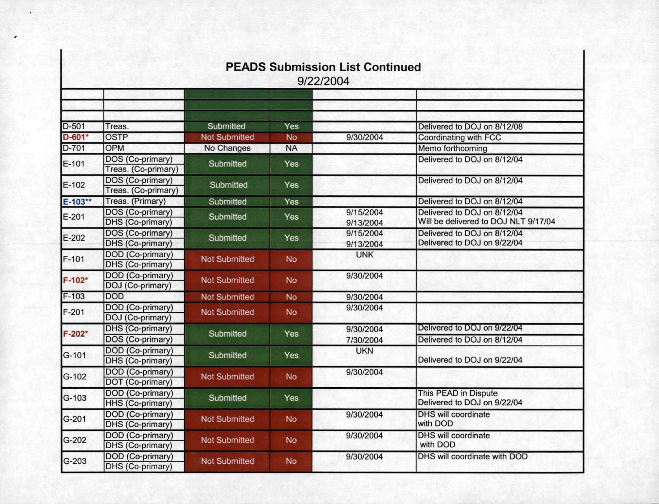|            |                                             |                      |           | <b>PEADS Submission List Continued</b><br>9/22/2004 |                                                                     |
|------------|---------------------------------------------|----------------------|-----------|-----------------------------------------------------|---------------------------------------------------------------------|
|            |                                             |                      |           |                                                     |                                                                     |
|            |                                             |                      |           |                                                     |                                                                     |
| $D-501$    | Treas.                                      | Submitted            | Yes       |                                                     | Delivered to DOJ on 8/12/08                                         |
| $D - 601*$ | <b>OSTP</b>                                 | <b>Not Submitted</b> | No        | 9/30/2004                                           | Coordinating with FCC                                               |
| $D-701$    | OPM                                         | No Changes           | <b>NA</b> |                                                     | Memo forthcoming                                                    |
| $E-101$    | DOS (Co-primary)<br>Treas. (Co-primary)     | Submitted            | Yes       |                                                     | Delivered to DOJ on 8/12/04                                         |
| $E-102$    | DOS (Co-primary)<br>Treas. (Co-primary)     | Submitted            | Yes       |                                                     | Delivered to DOJ on 8/12/04                                         |
| E-103**    | Treas. (Primary)                            | Submitted            | Yes       |                                                     | Delivered to DOJ on 8/12/04                                         |
| $E-201$    | DOS (Co-primary)<br>DHS (Co-primary)        | Submitted            | Yes       | 9/15/2004<br>9/13/2004                              | Delivered to DOJ on 8/12/04<br>Will be delivered to DOJ NLT 9/17/04 |
| $E-202$    | DOS (Co-primary)<br>DHS (Co-primary)        | Submitted            | Yes       | 9/15/2004<br>9/13/2004                              | Delivered to DOJ on 8/12/04<br>Delivered to DOJ on 9/22/04          |
| $F-101$    | DOD (Co-primary)<br>DHS (Co-primary)        | <b>Not Submitted</b> | No.       | <b>UNK</b>                                          |                                                                     |
| $F-102*$   | DOD (Co-primary)<br>DOJ (Co-primary)        | <b>Not Submitted</b> | No        | 9/30/2004                                           |                                                                     |
| $F-103$    | <b>DOD</b>                                  | <b>Not Submitted</b> | <b>No</b> | 9/30/2004                                           |                                                                     |
| $F-201$    | DOD (Co-primary)<br>DOJ (Co-primary)        | <b>Not Submitted</b> | No.       | 9/30/2004                                           |                                                                     |
| $F - 202*$ | DHS (Co-primary)                            |                      | Yes       | 9/30/2004                                           | Delivered to DOJ on 9/22/04                                         |
|            | DOS (Co-primary)                            | Submitted            |           | 7/30/2004                                           | Delivered to DOJ on 8/12/04                                         |
| G-101      | DOD (Co-primary)<br>DHS (Co-primary)        | Submitted            | Yes       | <b>UKN</b>                                          | Delivered to DOJ on 9/22/04                                         |
| $G-102$    | DOD (Co-primary)<br>DOT (Co-primary)        | <b>Not Submitted</b> | No.       | 9/30/2004                                           |                                                                     |
| G-103      | DOD (Co-primary)<br><b>HHS (Co-primary)</b> | Submitted            | Yes       |                                                     | This PEAD in Dispute<br>Delivered to DOJ on 9/22/04                 |
| $G-201$    | DOD (Co-primary)<br>DHS (Co-primary)        | <b>Not Submitted</b> | <b>No</b> | 9/30/2004                                           | <b>DHS will coordinate</b><br>with DOD                              |
| G-202      | DOD (Co-primary)<br>DHS (Co-primary)        | <b>Not Submitted</b> | <b>No</b> | 9/30/2004                                           | <b>DHS will coordinate</b><br>with DOD                              |
| G-203      | DOD (Co-primary)<br>DHS (Co-primary)        | <b>Not Submitted</b> | <b>No</b> | 9/30/2004                                           | DHS will coordinate with DOD                                        |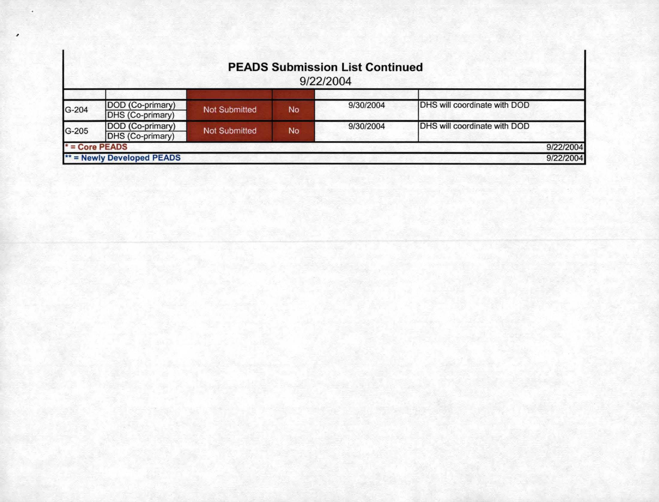|       |                                      |               |           | <b>PEADS Submission List Continued</b><br>9/22/2004 |                              |
|-------|--------------------------------------|---------------|-----------|-----------------------------------------------------|------------------------------|
| G-204 | DOD (Co-primary)<br>DHS (Co-primary) | Not Submitted | No        | 9/30/2004                                           | DHS will coordinate with DOD |
| G-205 | DOD (Co-primary)<br>DHS (Co-primary) | Not Submitted | <b>No</b> | 9/30/2004                                           | DHS will coordinate with DOD |
|       | * = Core PEADS                       |               |           |                                                     | 9/22/2004                    |
|       | ** = Newly Developed PEADS           |               |           |                                                     | 9/22/2004                    |

,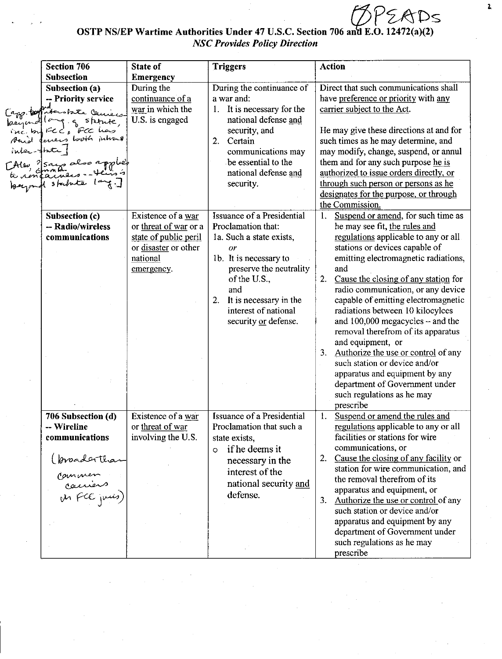## BPEADS **OSTP NS/EP Wartime Authorities Under 47 U.S.C. Section 706 and E.O. 12472(a)(2)** *NSC Provides Policy Direction*

|                           | <b>Section 706</b>                                                                                                                                                                                     | State of                                                                                                               | <b>Triggers</b>                                                                                                                                                                                                                                | <b>Action</b>                                                                                                                                                                                                                                                                                                                                                                                                                                                                                                                                                                                                                                                     |  |
|---------------------------|--------------------------------------------------------------------------------------------------------------------------------------------------------------------------------------------------------|------------------------------------------------------------------------------------------------------------------------|------------------------------------------------------------------------------------------------------------------------------------------------------------------------------------------------------------------------------------------------|-------------------------------------------------------------------------------------------------------------------------------------------------------------------------------------------------------------------------------------------------------------------------------------------------------------------------------------------------------------------------------------------------------------------------------------------------------------------------------------------------------------------------------------------------------------------------------------------------------------------------------------------------------------------|--|
|                           | <b>Subsection</b>                                                                                                                                                                                      | <b>Emergency</b>                                                                                                       |                                                                                                                                                                                                                                                |                                                                                                                                                                                                                                                                                                                                                                                                                                                                                                                                                                                                                                                                   |  |
| peyardlang.<br>inter-this | Subsection (a)<br>-- Priority service<br>Capp. tooff starstake Cancers.<br>inc. by FCC , FCC has<br>send feners both inhand<br>CALE, ? Says also applies<br>te renfactures --<br>beyond statute lang.] | During the<br>continuance of a<br>war in which the<br>U.S. is engaged                                                  | During the continuance of<br>a war and:<br>1. It is necessary for the<br>national defense and<br>security, and<br>2. Certain<br>communications may<br>be essential to the<br>national defense and<br>security.                                 | Direct that such communications shall<br>have preference or priority with any<br>carrier subject to the Act.<br>He may give these directions at and for<br>such times as he may determine, and<br>may modify, change, suspend, or annul<br>them and for any such purpose he is<br>authorized to issue orders directly, or<br>through such person or persons as he<br>designates for the purpose, or through<br>the Commission.                                                                                                                                                                                                                                    |  |
|                           | Subsection (c)<br>-- Radio/wireless<br>communications                                                                                                                                                  | Existence of a war<br>or threat of war or a<br>state of public peril<br>or disaster or other<br>national<br>emergency. | Issuance of a Presidential<br>Proclamation that:<br>la. Such a state exists,<br>or<br>1b. It is necessary to<br>preserve the neutrality<br>of the U.S.,<br>and<br>It is necessary in the<br>2.<br>interest of national<br>security or defense. | Suspend or amend, for such time as<br>1.<br>he may see fit, the rules and<br>regulations applicable to any or all<br>stations or devices capable of<br>emitting electromagnetic radiations,<br>and<br>Cause the closing of any station for<br>2.<br>radio communication, or any device<br>capable of emitting electromagnetic<br>radiations between 10 kilocylces<br>and $100,000$ megacycles $-$ and the<br>removal therefrom of its apparatus<br>and equipment, or<br>Authorize the use or control of any<br>3.<br>such station or device and/or<br>apparatus and equipment by any<br>department of Government under<br>such regulations as he may<br>prescribe |  |
|                           | 706 Subsection (d)<br>-- Wireline<br>communications<br>(broaderthan)<br>commen<br>vir FCC juis)                                                                                                        | Existence of a war<br>or threat of war<br>involving the U.S.                                                           | <b>Issuance of a Presidential</b><br>Proclamation that such a<br>state exists,<br>if he deems it<br>$\circ$<br>necessary in the<br>interest of the<br>national security and<br>defense.                                                        | Suspend or amend the rules and<br>1.<br>regulations applicable to any or all<br>facilities or stations for wire<br>communications, or<br>2. Cause the closing of any facility or<br>station for wire communication, and<br>the removal therefrom of its<br>apparatus and equipment, or<br>Authorize the use or control of any<br>3.<br>such station or device and/or<br>apparatus and equipment by any<br>department of Government under<br>such regulations as he may<br>prescribe                                                                                                                                                                               |  |

 $\mathbf{z}$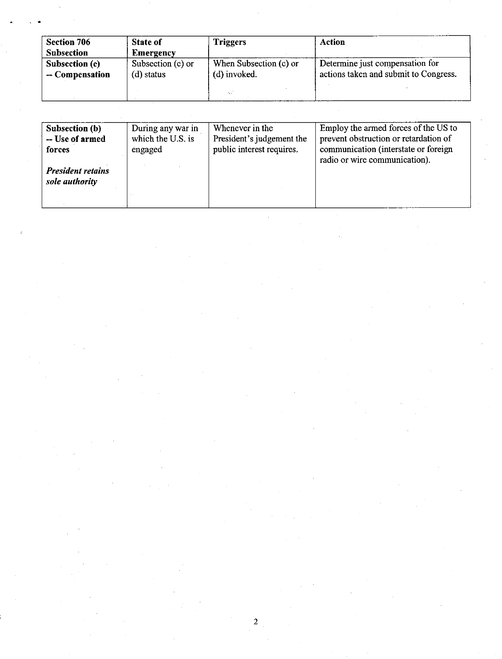| <b>Section 706</b><br><b>Subsection</b> | <b>State of</b><br>Emergency    | <b>Triggers</b>                        | <b>Action</b>                                                            |
|-----------------------------------------|---------------------------------|----------------------------------------|--------------------------------------------------------------------------|
| Subsection (e)<br>-- Compensation       | Subsection (c) or<br>(d) status | When Subsection (c) or<br>(d) invoked. | Determine just compensation for<br>actions taken and submit to Congress. |
|                                         |                                 |                                        |                                                                          |

..

| Subsection (b)           | During any war in | Whenever in the           | Employ the armed forces of the US to  |
|--------------------------|-------------------|---------------------------|---------------------------------------|
| -- Use of armed          | which the U.S. is | President's judgement the | prevent obstruction or retardation of |
| forces                   | engaged           | public interest requires. | communication (interstate or foreign  |
|                          |                   |                           | radio or wire communication).         |
| <b>President retains</b> |                   |                           |                                       |
| sole authority           |                   |                           |                                       |
|                          |                   |                           |                                       |
|                          |                   |                           |                                       |

 $\sim 20$ 

 $\label{eq:2.1} \frac{1}{\sqrt{2\pi}}\int_{0}^{\infty}\frac{dx}{\sqrt{2\pi}}\,dx\leq \frac{1}{\sqrt{2\pi}}\int_{0}^{\infty}\frac{dx}{\sqrt{2\pi}}\,dx.$ 

 $\lambda_{\rm{max}}$ 

 $\alpha_{\rm c}$  ,  $\alpha_{\rm c}$ 

2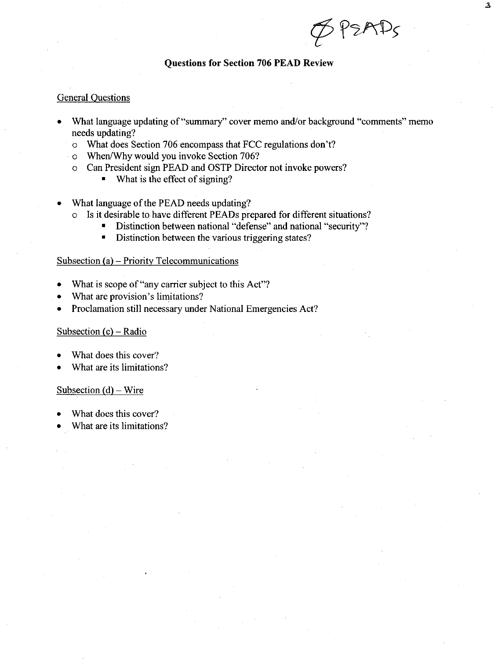$3.95P5P5$ 

3

#### **Questions for Section 706 PEAD Review**

#### General Questions

- What language updating of"summary" cover memo and/or background "comments" memo needs updating?
	- o What does Section 706 encompass that FCC regulations don't?
	- o When/Why would you invoke Section 706?
	- o Can President sign PEAD and OSTP Director not invoke powers?
		- What is the effect of signing?
- What language of the PEAD needs updating?
	- o Is it desirable to have different PEADs prepared for different situations?
		- Distinction between national "defense" and national "security"?
		- Distinction between the various triggering states?

#### Subsection (a) - Priority Telecommunications

- What is scope of "any carrier subject to this Act"?
- What are provision's limitations?
- Proclamation still necessary under National Emergencies Act?

#### Subsection  $(c)$  – Radio

- What does this cover?
- What are its limitations?

#### Subsection (d) – Wire

- What does this cover?
- What are its limitations?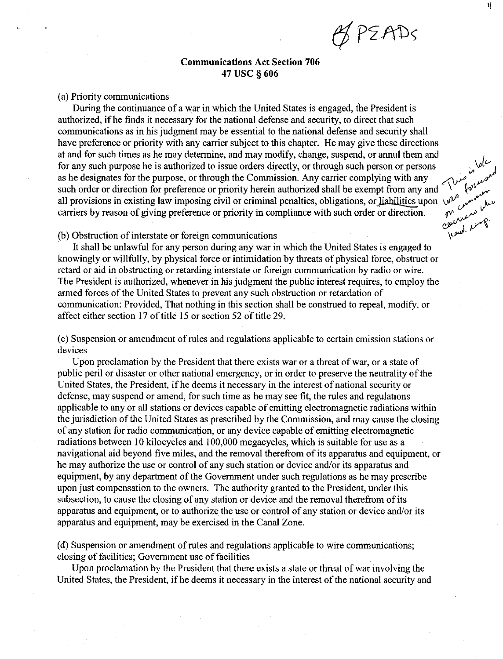Z PEADS

۱Į.

#### **Communications Act Section 706 47USC § 606**

#### (a) Priority communications

During the continuance of a war in which the United States is engaged, the President is authorized, ifhe finds it necessary for the national defense and security; to direct that such communications as in his judgment may be essential to the national defense and security shall have preference or priority with any carrier subject to this chapter. He may give these directions at and for such times as he may determine, and may modify, change, suspend, or annul them and for any such purpose he is authorized to issue orders directly, or through such person or persons as he designates for the purpose, or through the Commission. Any carrier complying with any such order or direction for preference or priority herein authorized shall be exempt from any and all provisions in existing law imposing civil or criminal penalties, obligations, or liabilities upon  $\varphi^{\mathcal{N}}$ carriers by reason of giving preference or priority in compliance with such order or direction. courriers en

(b) Obstruction of interstate or foreign communications *Y-9..}* 

It shall be unlawful for any person during any war in which the United States is engaged to knowingly or willfully, by physical force or intimidation by threats of physical force, obstruct or retard or aid in obstructing or retarding interstate or foreign communication by radio or wire. The President is authorized, whenever in his judgment the public interest requires, to employ the armed forces of the United States to prevent any such obstruction or retardation of communication: Provided, That nothing in this section shall be construed to repeal, modify, or affect either section 17 of title 15 or section 52 of title 29.

(c) Suspension or amendment of rules and regulations applicable to certain emission stations or devices

Upon proclamation by the President that there exists war or a threat of war, or a state of public peril or disaster or other national emergency, or in order to preserve the neutrality of the United States, the President, if he deems it necessary in the interest of national security or defense, may suspend or amend, for such time as he may see fit, the rules and regulations applicable to any or all stations or devices capable of emitting electromagnetic radiations within the jurisdiction of the United States as prescribed by the Commission, and may cause the closing of any station for radio communication, or any device capable of emitting electromagnetic radiations between 10 kilocycles and 100,000 megacycles, which is suitable for use as a navigational aid beyond five miles, and the removal therefrom of its apparatus and equipment, or he may authorize the use or control of any such station or device and/or its apparatus and equipment, by any department of the Government under such regulations as he may prescribe upon just compensation to the owners. The authority granted to the President, under this subsection, to cause the closing of any station or device and the removal therefrom of its apparatus and equipment, or to authorize the use or control of any station or device and/or its apparatus and equipment, may be exercised in the Canal Zone.

( d) Suspension or amendment of rules and regulations applicable to wire communications; closing of facilities; Government use of facilities

Upon proclamation by the President that there exists a state or threat of war involving the United States, the President, ifhe deems it necessary in the interest of the national security and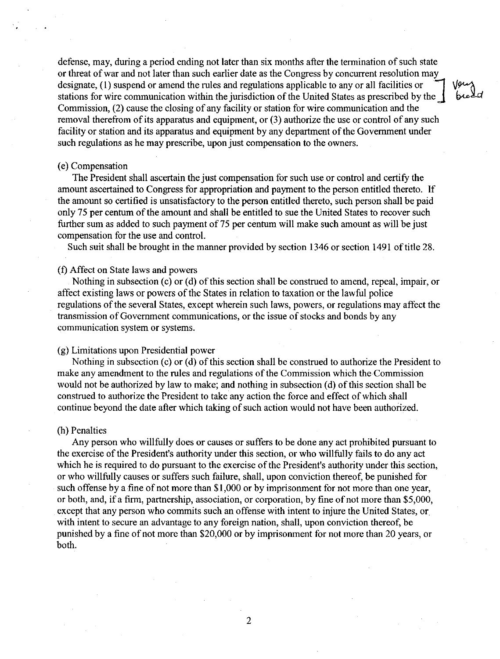defense, may, during a period ending not later than six months after the termination of such state or threat of war and not later than such earlier date as the Congress by concurrent resolution may designate, (1) suspend or amend the rules and regulations applicable to any or all facilities or J Vaux designate, (1) suspend or amend the rules and regulations applicable to any or all facilities or J Vaux stations for v stations for wire communication within the jurisdiction of the United States as prescribed by the Commission, (2) cause the closing of any facility or station for wire communication and the removal therefrom of its apparatus and equipment, or (3) authorize the use or control of any such facility or station and its apparatus and equipment by any department of the Government under such regulations as he may prescribe, upon just compensation to the owners.

#### (e) Compensation

The President shall ascertain the just compensation for such use or control and certify the amount ascertained to Congress for appropriation and payment to the person entitled thereto. If the amount so certified is unsatisfactory to the person entitled thereto, such person shall be paid only 75 per centum of the amount and shall be entitled to sue the United States to recover such further sum as added to such payment of 75 per centum will make such amount as will be just compensation for the use and control.

Such suit shall be brought in the manner provided by section 1346 or section 1491 of title 28.

#### (f) Affect on State laws and powers

Nothing in subsection (c) or (d) of this section shall be construed to amend, repeal, impair, or affect existing laws or powers of the States in relation to taxation or the lawful police regulations of the several States, except wherein such laws, powers, or regulations may affect the transmission of Government communications, or the issue of stocks and bonds by any communication system or systems.

#### (g) Limitations upon Presidential power

Nothing in subsection (c) or (d) of this section shall be construed to authorize the President to make any amendment to the rules and regulations of the Commission which the Commission would not be authorized by law to make; and nothing in subsection (d) of this section shall be construed to authorize the President to take any action the force and effect of which shall continue beyond the date after which taking of such action would not have been authorized.

#### (h) Penalties

Any person who willfully does or causes or suffers to be done any act prohibited pursuant to the exercise of the President's authority under this section, or who willfully fails to do any act which he is required to do pursuant to the exercise of the President's authority under this section, or who willfully causes or suffers such failure, shall, upon conviction thereof, be punished for such offense by a fine of not more than \$1,000 or by imprisonment for not more than one year, or both, and, if a firm, partnership, association, or corporation, by fine of not more than \$5,000, except that any person who commits such an offense with intent to injure the United States, or. with intent to secure an advantage to any foreign nation, shall, upon conviction thereof, be punished by a fine of not more than \$20,000 or by imprisonment for not more than 20 years, or both.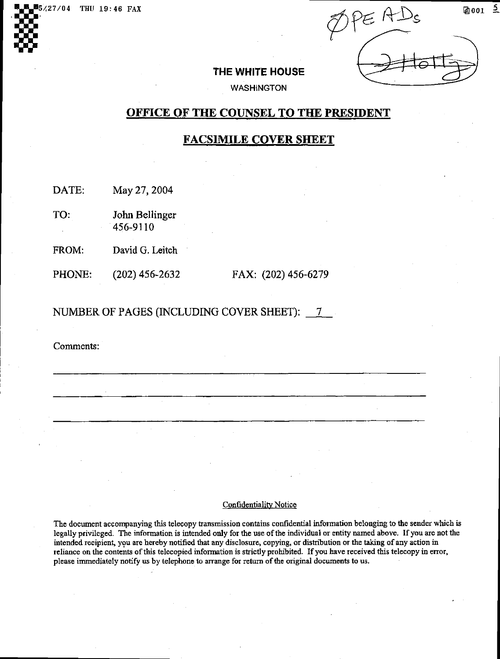#### **THE WHITE HOUSE**

WASHINGTON

#### **OFFICE OF THE COUNSEL TO THE PRESIDENT**

#### **FACSIMILE COVER SHEET**

DATE: May 27, 2004

TO: John Bellinger 456-9110

FROM: David G. Leitch

PHONE: (202) 456-2632 FAX: (202) 456-6279

NUMBER OF PAGES (INCLUDING COVER SHEET):  $\frac{7}{1}$ 

Comments:

#### Confidentiality Notice

The document accompanying this telecopy transmission contains confidential information belonging to the sender which is legally privileged. The information is intended only for the use of the individual or entity named above. If you are not the intended recipient, you are hereby notified that any disclosure, copying, or distribution or the taking of any action in reliance on the contents of this telccopied information is strictly prohibited. If you have received this telecopy in error, please immediately notify us by telephone to arrange for return of the original documents to us.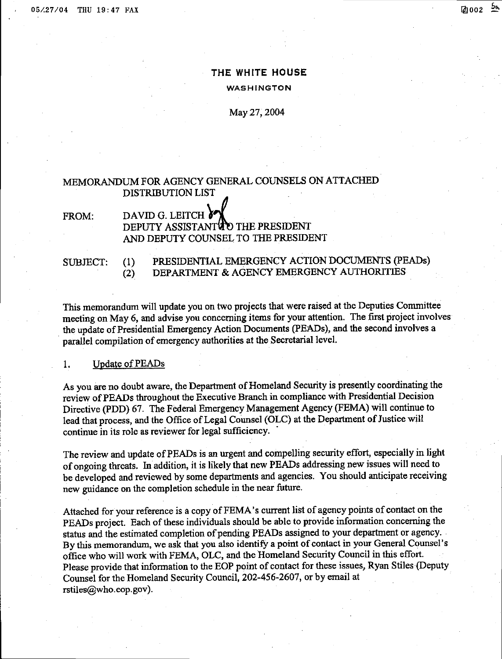### **THE WHITE HOUSE**  WASHINGTON

May 27, 2004

### MEMORANDUM FOR AGENCY GENERAL COUNSELS ON ATTACHED DISTRIBUTION LIST .

#### FROM: DAVID G. LEITCH  $\mathcal{V}$ DEPUTY ASSISTANT TO THE PRESIDENT AND DEPUTY COUNSEL TO THE PRESIDENT

#### SUBJECT: (1) (2) PRESIDENTIAL EMERGENCY ACTION DOCUMENTS (PEADs) DEPARTMENT & AGENCY EMERGENCY AUTHORITIES

This memorandum will update you on two projects that were raised at the Deputies Committee meeting on May 6, and advise you concerning items for your attention. The first project involves the update of Presidential Emergency Action Documents (PEADs), and the second involves a parallel compilation of emergency authorities at the Secretarial level.

#### 1. Update of PEADs

As you are no doubt aware, the Department of Homeland Security is presently coordinating the review of PEADs throughout the Executive Branch in compliance with Presidential Decision Directive (PDD) 67. The Federal Emergency Management Agency (FEMA) will continue to lead that process, and the Office of Legal Counsel (OLC) at the Department of Justice will continue in its role as reviewer for legal sufficiency.

The review and update of PEADs is an urgent and compelling security effort, especially in light of ongoing threats. In addition, it is likely that new PEADs addressing new issues will need to be developed and reviewed by some departments and agencies. You should anticipate receiving new guidance on the completion schedule in the near future.

Attached for your reference is a copy of FEMA's current list of agency points of contact on the PEADs project. Each of these individuals should be able to provide information concerning the status and the estimated completion of pending PEADs assigned to your department or agency. By this memorandum, we ask that you also identify a point of contact in your General Counsel's office who will work with FEMA, OLC, and the Homeland Security Council in this effort. Please provide that information to the EOP point of contact for these issues, Ryan Stiles (Deputy Counsel for the Homeland Security Council, 202-456-2607, or by email at rstiles@who.eop.gov).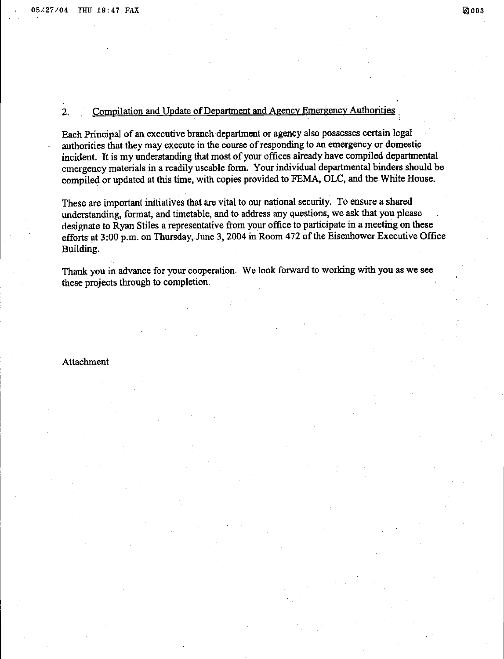#### 2. Compilation and Update of Department and Agency Emergency Authorities

Each Principal of an executive branch department or agency also possesses certain legal authorities that they may execute in the course of responding to an emergency or domestic incident. It is my understanding that most of your offices already have compiled departmental emergency materials in a readily useable form. Your individual departmental binders should be compiled or updated at this time, with copies provided to FEMA, OLC, and the White House.

These are important initiatives that are vital to our national security. To ensure a shared understanding, format, and timetable, and to address any questions, we ask that you please designate to Ryan Stiles a representative from your office to participate in a meeting on these efforts at 3:00 p.m. on Thursday, June 3, 2004 in Room 472 of the Eisenhower Executive Office Building.

Thank you in advance for your cooperation. We look forward to working with you as we see these projects through to completion.

#### Attachment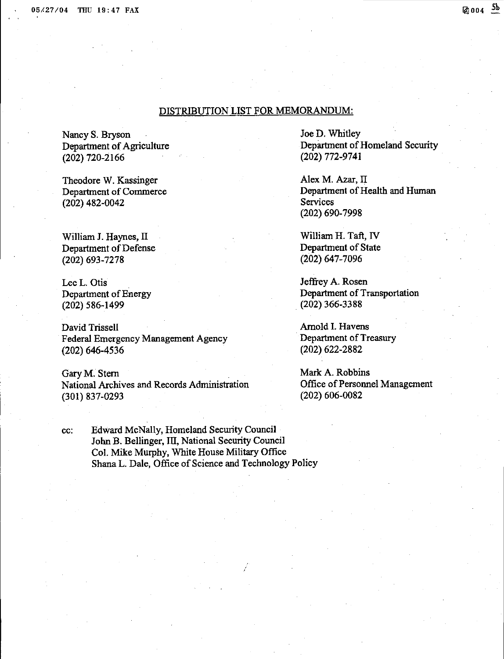#### DISTRIBUTION LIST FOR MEMORANDUM:

Nancy S. Bryson Department of Agriculture (202) 720-2166

Theodore W. Kassinger Department of Commerce (202) 482-0042

William J. Haynes, II Department of Defense (202) 693-7278

Lee L. Otis Department of Energy (202) 586-1499

David Trissell Federal Emergency Management Agency (202) 646-4536

Gary M. Stern National Archives and Records Administration (301) 837-0293

cc: Edward McNally, Homeland Security Council John B. Bellinger, III, National Security Council Col. Mike Murphy, White House Military Office Shana L. Dale, Office of Science and Technology Policy

Joe D. Whitley Department of Homeland Security (202) 772-9741

Alex M. Azar, II Department of Health and Human Services (202) 690-7998

William H. Taft, *N*  Department of State (202) 647-7096

Jeffrey A. Rosen Department of Transportation . (202) 366-3388

Arnold I. Havens Department of Treasury (202) 622-2882

Mark A. Robbins Office of Personnel Management (202) 606-0082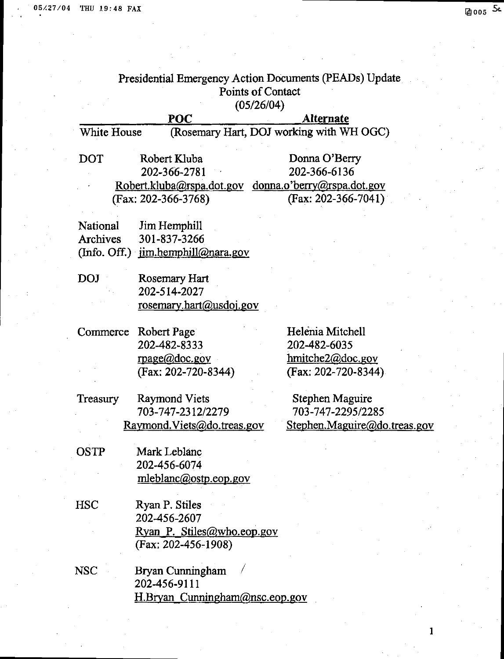### Presidential Emergency Action Documents (PEADs) Update Points of Contact (05/26/04)

|             | POC                                                          | <b>Alternate</b>                         |
|-------------|--------------------------------------------------------------|------------------------------------------|
| White House |                                                              | (Rosemary Hart, DOJ working with WH OGC) |
| DOT         | Robert Kluba                                                 | Donna O'Berry                            |
|             | 202-366-2781                                                 | 202-366-6136                             |
|             | <u> Robert.kluba@rspa.dot.gov donna.o'berry@rspa.dot.gov</u> |                                          |
|             | (Fax: 202-366-3768)                                          | $(Fax: 202-366-7041)$                    |
| National    | Jim Hemphill                                                 |                                          |
| Archives    | 301-837-3266                                                 |                                          |
|             | (Info. Off.) $\lim$ hemphill@nara.gov                        |                                          |
| <b>DOJ</b>  | <b>Rosemary Hart</b>                                         |                                          |
|             | 202-514-2027                                                 |                                          |
|             | <u>rosemary.hart@usdoj.gov</u>                               |                                          |
| Commerce    | Robert Page                                                  | Helenia Mitchell                         |
|             | 202-482-8333                                                 | 202-482-6035                             |
|             | rpage@doc.gov                                                | hmitche2@doc.gov                         |
|             | (Fax: 202-720-8344)                                          | (Fax: 202-720-8344)                      |
| Treasury    | <b>Raymond Viets</b>                                         | Stephen Maguire                          |
|             | 703-747-2312/2279                                            | 703-747-2295/2285                        |
|             | <u>Raymond.Viets@do.treas.gov</u>                            | Stephen.Maguire@do.treas.gov             |
| <b>OSTP</b> | Mark Leblanc                                                 |                                          |
|             | 202-456-6074                                                 |                                          |
|             | mleblanc@ostp.eop.gov                                        |                                          |
| <b>HSC</b>  | Ryan P. Stiles                                               |                                          |
|             | 202-456-2607                                                 |                                          |
|             | <u>Ryan P. Stiles@who.eop.gov</u>                            |                                          |
|             | (Fax: 202-456-1908)                                          |                                          |
| NSC         | Bryan Cunningham                                             |                                          |
|             | 202-456-9111                                                 |                                          |

H.Bryan Cunningham@nsc.eop.gov

I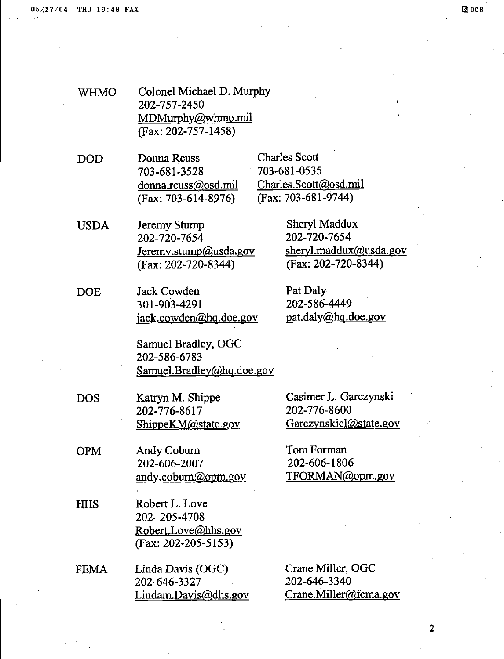DOD

~006

**WHMO** Colonel Michael D. Murphy 202-757-2450 MDMurphy@whmo.mil (Fax: 202-757-1458)

> Donna Reuss 703-681-3528 donna.reuss@osd.mil (Fax: 703-614-8976)

USDA Jeremy Stump 202-720-7654 Jeremy.stump@usda.gov (Fax: 202-720-8344)

DOE Jack Cowden 301-903-4291 jack.cowden@hg.doe.gov

Charles Scott 703-681-0535 Charles.Scott@osd.mil (Fax: 703-681-9744)

> Sheryl Maddux 202-720-7654 sheryl.maddux@usda.gov (Fax: 202-720-8344)

Pat Daly 202-586-4449 pat.daly@hg.doe.gov

Samuel Bradley, OGC 202-586-6783 Samuel.Bradley@hg.doe.gov

DOS Katryn M. Shippe 202-776-8617 ShippeKM@state.gov

OPM Andy Coburn 202-606-2007 andy.coburn@opm.gov

HHS Robert L. Love 202- 205-4708 Robert.Love@hhs.gov (Fax: 202-205-5153)

FEMA Linda Davis (OGC) 202-646-3327 Lindam.Davis@dhs.gov

Casimer L. Garczynski 202-776-8600 Garczynskicl@state.gov

Tom Forman 202-606-1806 TFORMAN@opm.gov

Crane Miller, OGC 202-646-3340 Crane.Miller@fema.gov

2